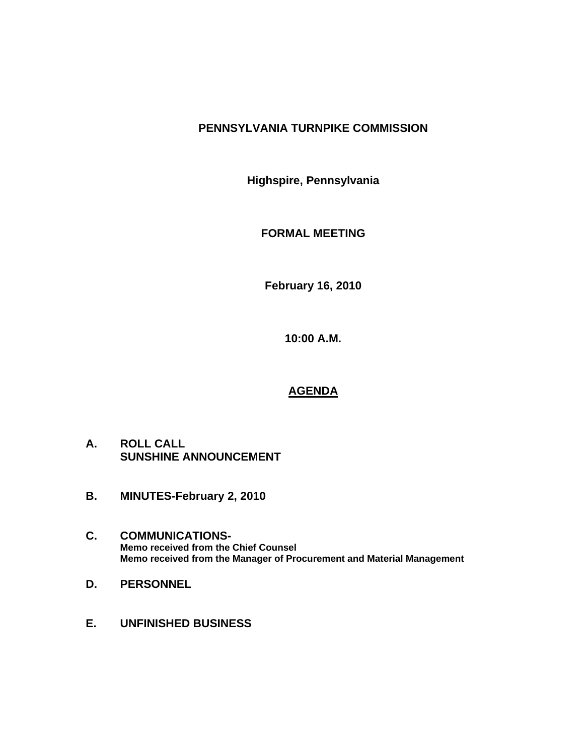## **PENNSYLVANIA TURNPIKE COMMISSION**

**Highspire, Pennsylvania** 

**FORMAL MEETING** 

**February 16, 2010** 

**10:00 A.M.** 

# **AGENDA**

- **A. ROLL CALL SUNSHINE ANNOUNCEMENT**
- **B. MINUTES-February 2, 2010**
- **C. COMMUNICATIONS-Memo received from the Chief Counsel Memo received from the Manager of Procurement and Material Management**
- **D. PERSONNEL**
- **E. UNFINISHED BUSINESS**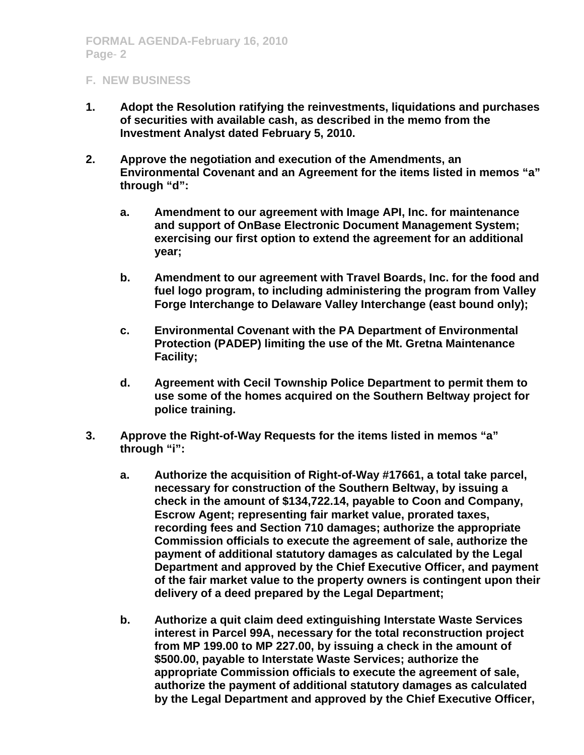## **F. NEW BUSINESS**

- **1. Adopt the Resolution ratifying the reinvestments, liquidations and purchases of securities with available cash, as described in the memo from the Investment Analyst dated February 5, 2010.**
- **2. Approve the negotiation and execution of the Amendments, an Environmental Covenant and an Agreement for the items listed in memos "a" through "d":** 
	- **a. Amendment to our agreement with Image API, Inc. for maintenance and support of OnBase Electronic Document Management System; exercising our first option to extend the agreement for an additional year;**
	- **b. Amendment to our agreement with Travel Boards, Inc. for the food and fuel logo program, to including administering the program from Valley Forge Interchange to Delaware Valley Interchange (east bound only);**
	- **c. Environmental Covenant with the PA Department of Environmental Protection (PADEP) limiting the use of the Mt. Gretna Maintenance Facility;**
	- **d. Agreement with Cecil Township Police Department to permit them to use some of the homes acquired on the Southern Beltway project for police training.**
- **3. Approve the Right-of-Way Requests for the items listed in memos "a" through "i":** 
	- **a. Authorize the acquisition of Right-of-Way #17661, a total take parcel, necessary for construction of the Southern Beltway, by issuing a check in the amount of \$134,722.14, payable to Coon and Company, Escrow Agent; representing fair market value, prorated taxes, recording fees and Section 710 damages; authorize the appropriate Commission officials to execute the agreement of sale, authorize the payment of additional statutory damages as calculated by the Legal Department and approved by the Chief Executive Officer, and payment of the fair market value to the property owners is contingent upon their delivery of a deed prepared by the Legal Department;**
	- **b. Authorize a quit claim deed extinguishing Interstate Waste Services interest in Parcel 99A, necessary for the total reconstruction project from MP 199.00 to MP 227.00, by issuing a check in the amount of \$500.00, payable to Interstate Waste Services; authorize the appropriate Commission officials to execute the agreement of sale, authorize the payment of additional statutory damages as calculated by the Legal Department and approved by the Chief Executive Officer,**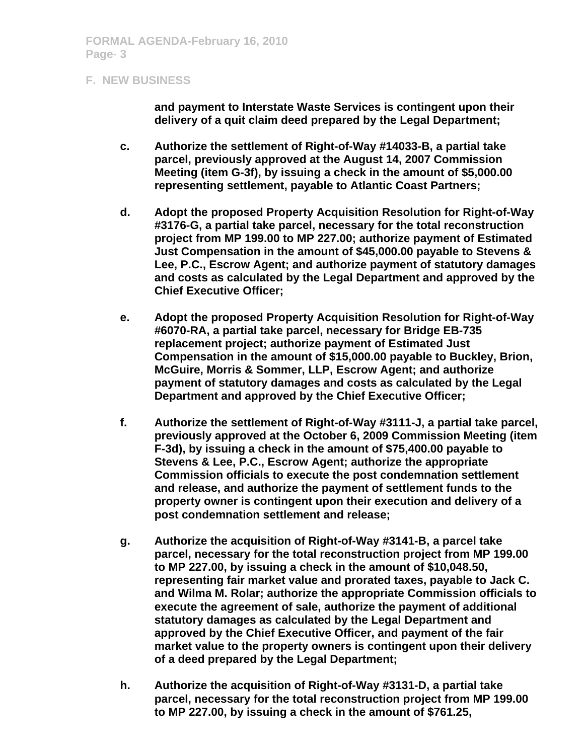#### **F. NEW BUSINESS**

**and payment to Interstate Waste Services is contingent upon their delivery of a quit claim deed prepared by the Legal Department;** 

- **c. Authorize the settlement of Right-of-Way #14033-B, a partial take parcel, previously approved at the August 14, 2007 Commission Meeting (item G-3f), by issuing a check in the amount of \$5,000.00 representing settlement, payable to Atlantic Coast Partners;**
- **d. Adopt the proposed Property Acquisition Resolution for Right-of-Way #3176-G, a partial take parcel, necessary for the total reconstruction project from MP 199.00 to MP 227.00; authorize payment of Estimated Just Compensation in the amount of \$45,000.00 payable to Stevens & Lee, P.C., Escrow Agent; and authorize payment of statutory damages and costs as calculated by the Legal Department and approved by the Chief Executive Officer;**
- **e. Adopt the proposed Property Acquisition Resolution for Right-of-Way #6070-RA, a partial take parcel, necessary for Bridge EB-735 replacement project; authorize payment of Estimated Just Compensation in the amount of \$15,000.00 payable to Buckley, Brion, McGuire, Morris & Sommer, LLP, Escrow Agent; and authorize payment of statutory damages and costs as calculated by the Legal Department and approved by the Chief Executive Officer;**
- **f. Authorize the settlement of Right-of-Way #3111-J, a partial take parcel, previously approved at the October 6, 2009 Commission Meeting (item F-3d), by issuing a check in the amount of \$75,400.00 payable to Stevens & Lee, P.C., Escrow Agent; authorize the appropriate Commission officials to execute the post condemnation settlement and release, and authorize the payment of settlement funds to the property owner is contingent upon their execution and delivery of a post condemnation settlement and release;**
- **g. Authorize the acquisition of Right-of-Way #3141-B, a parcel take parcel, necessary for the total reconstruction project from MP 199.00 to MP 227.00, by issuing a check in the amount of \$10,048.50, representing fair market value and prorated taxes, payable to Jack C. and Wilma M. Rolar; authorize the appropriate Commission officials to execute the agreement of sale, authorize the payment of additional statutory damages as calculated by the Legal Department and approved by the Chief Executive Officer, and payment of the fair market value to the property owners is contingent upon their delivery of a deed prepared by the Legal Department;**
- **h. Authorize the acquisition of Right-of-Way #3131-D, a partial take parcel, necessary for the total reconstruction project from MP 199.00 to MP 227.00, by issuing a check in the amount of \$761.25,**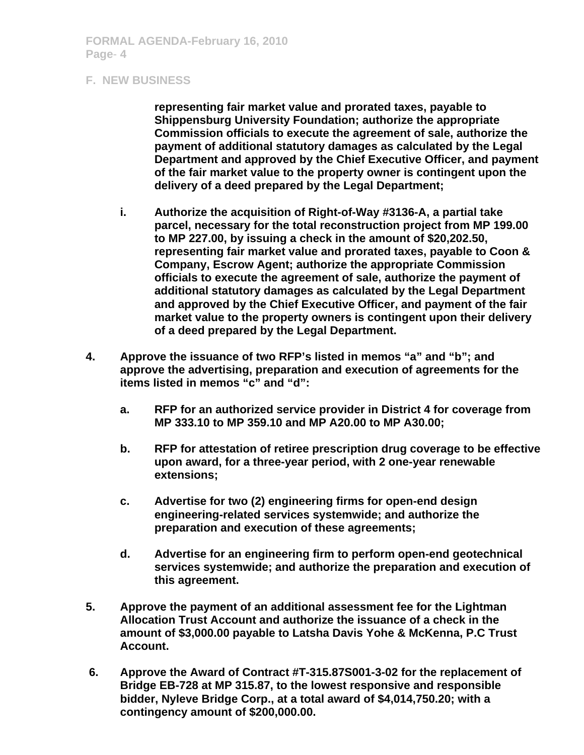### **F. NEW BUSINESS**

**representing fair market value and prorated taxes, payable to Shippensburg University Foundation; authorize the appropriate Commission officials to execute the agreement of sale, authorize the payment of additional statutory damages as calculated by the Legal Department and approved by the Chief Executive Officer, and payment of the fair market value to the property owner is contingent upon the delivery of a deed prepared by the Legal Department;** 

- **i. Authorize the acquisition of Right-of-Way #3136-A, a partial take parcel, necessary for the total reconstruction project from MP 199.00 to MP 227.00, by issuing a check in the amount of \$20,202.50, representing fair market value and prorated taxes, payable to Coon & Company, Escrow Agent; authorize the appropriate Commission officials to execute the agreement of sale, authorize the payment of additional statutory damages as calculated by the Legal Department and approved by the Chief Executive Officer, and payment of the fair market value to the property owners is contingent upon their delivery of a deed prepared by the Legal Department.**
- **4. Approve the issuance of two RFP's listed in memos "a" and "b"; and approve the advertising, preparation and execution of agreements for the items listed in memos "c" and "d":** 
	- **a. RFP for an authorized service provider in District 4 for coverage from MP 333.10 to MP 359.10 and MP A20.00 to MP A30.00;**
	- **b. RFP for attestation of retiree prescription drug coverage to be effective upon award, for a three-year period, with 2 one-year renewable extensions;**
	- **c. Advertise for two (2) engineering firms for open-end design engineering-related services systemwide; and authorize the preparation and execution of these agreements;**
	- **d. Advertise for an engineering firm to perform open-end geotechnical services systemwide; and authorize the preparation and execution of this agreement.**
- **5. Approve the payment of an additional assessment fee for the Lightman Allocation Trust Account and authorize the issuance of a check in the amount of \$3,000.00 payable to Latsha Davis Yohe & McKenna, P.C Trust Account.**
- **6. Approve the Award of Contract #T-315.87S001-3-02 for the replacement of Bridge EB-728 at MP 315.87, to the lowest responsive and responsible bidder, Nyleve Bridge Corp., at a total award of \$4,014,750.20; with a contingency amount of \$200,000.00.**